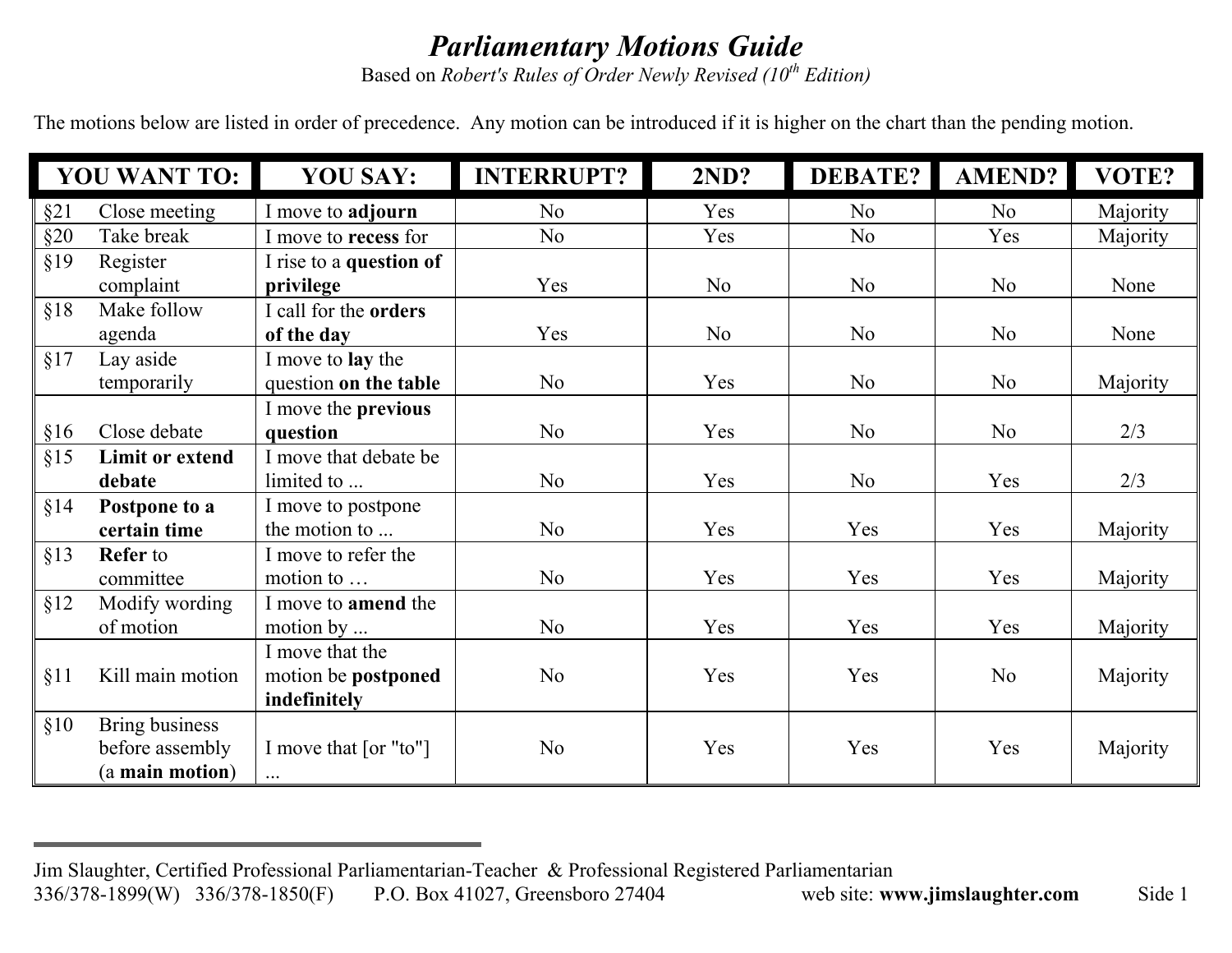## *Parliamentary Motions Guide*

Based on *Robert's Rules of Order Newly Revised (10th Edition)*

The motions below are listed in order of precedence. Any motion can be introduced if it is higher on the chart than the pending motion.

| <b>YOU WANT TO:</b> |                        | <b>YOU SAY:</b>            | <b>INTERRUPT?</b> | 2ND?           | <b>DEBATE?</b> | AMEND?         | VOTE?    |
|---------------------|------------------------|----------------------------|-------------------|----------------|----------------|----------------|----------|
| §21                 | Close meeting          | I move to adjourn          | No                | Yes            | N <sub>o</sub> | N <sub>0</sub> | Majority |
| §20                 | Take break             | I move to recess for       | N <sub>0</sub>    | Yes            | N <sub>o</sub> | Yes            | Majority |
| §19                 | Register               | I rise to a question of    |                   |                |                |                |          |
|                     | complaint              | privilege                  | Yes               | N <sub>o</sub> | N <sub>o</sub> | No             | None     |
| §18                 | Make follow            | I call for the orders      |                   |                |                |                |          |
|                     | agenda                 | of the day                 | Yes               | N <sub>o</sub> | N <sub>o</sub> | No             | None     |
| §17                 | Lay aside              | I move to <b>lay</b> the   |                   |                |                |                |          |
|                     | temporarily            | question on the table      | N <sub>o</sub>    | Yes            | N <sub>o</sub> | N <sub>o</sub> | Majority |
|                     |                        | I move the <b>previous</b> |                   |                |                |                |          |
| §16                 | Close debate           | question                   | N <sub>o</sub>    | Yes            | N <sub>o</sub> | N <sub>o</sub> | 2/3      |
| §15                 | <b>Limit or extend</b> | I move that debate be      |                   |                |                |                |          |
|                     | debate                 | limited to                 | N <sub>0</sub>    | Yes            | N <sub>0</sub> | Yes            | 2/3      |
| §14                 | Postpone to a          | I move to postpone         |                   |                |                |                |          |
|                     | certain time           | the motion to              | N <sub>o</sub>    | Yes            | Yes            | Yes            | Majority |
| §13                 | <b>Refer</b> to        | I move to refer the        |                   |                |                |                |          |
|                     | committee              | motion to                  | N <sub>o</sub>    | Yes            | Yes            | Yes            | Majority |
| §12                 | Modify wording         | I move to <b>amend</b> the |                   |                |                |                |          |
|                     | of motion              | motion by $\ldots$         | N <sub>o</sub>    | Yes            | Yes            | Yes            | Majority |
|                     |                        | I move that the            |                   |                |                |                |          |
| §11                 | Kill main motion       | motion be postponed        | N <sub>o</sub>    | Yes            | Yes            | N <sub>o</sub> | Majority |
|                     |                        | indefinitely               |                   |                |                |                |          |
| §10                 | Bring business         |                            |                   |                |                |                |          |
|                     | before assembly        | I move that [or "to"]      | N <sub>0</sub>    | Yes            | Yes            | Yes            | Majority |
|                     | (a main motion)        | $\ldots$                   |                   |                |                |                |          |

Jim Slaughter, Certified Professional Parliamentarian-Teacher & Professional Registered Parliamentarian